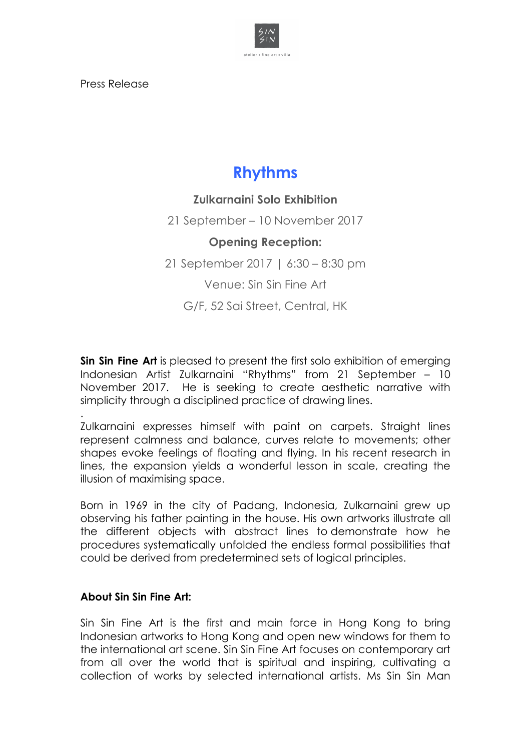

Press Release

## **Rhythms**

## **Zulkarnaini Solo Exhibition**

21 September – 10 November 2017

## **Opening Reception:**

21 September 2017 | 6:30 – 8:30 pm

Venue: Sin Sin Fine Art

G/F, 52 Sai Street, Central, HK

**Sin Sin Fine Art** is pleased to present the first solo exhibition of emerging Indonesian Artist Zulkarnaini "Rhythms" from 21 September – 10 November 2017. He is seeking to create aesthetic narrative with simplicity through a disciplined practice of drawing lines.

.

Zulkarnaini expresses himself with paint on carpets. Straight lines represent calmness and balance, curves relate to movements; other shapes evoke feelings of floating and flying. In his recent research in lines, the expansion yields a wonderful lesson in scale, creating the illusion of maximising space.

Born in 1969 in the city of Padang, Indonesia, Zulkarnaini grew up observing his father painting in the house. His own artworks illustrate all the different objects with abstract lines to demonstrate how he procedures systematically unfolded the endless formal possibilities that could be derived from predetermined sets of logical principles.

## **About Sin Sin Fine Art:**

Sin Sin Fine Art is the first and main force in Hong Kong to bring Indonesian artworks to Hong Kong and open new windows for them to the international art scene. Sin Sin Fine Art focuses on contemporary art from all over the world that is spiritual and inspiring, cultivating a collection of works by selected international artists. Ms Sin Sin Man